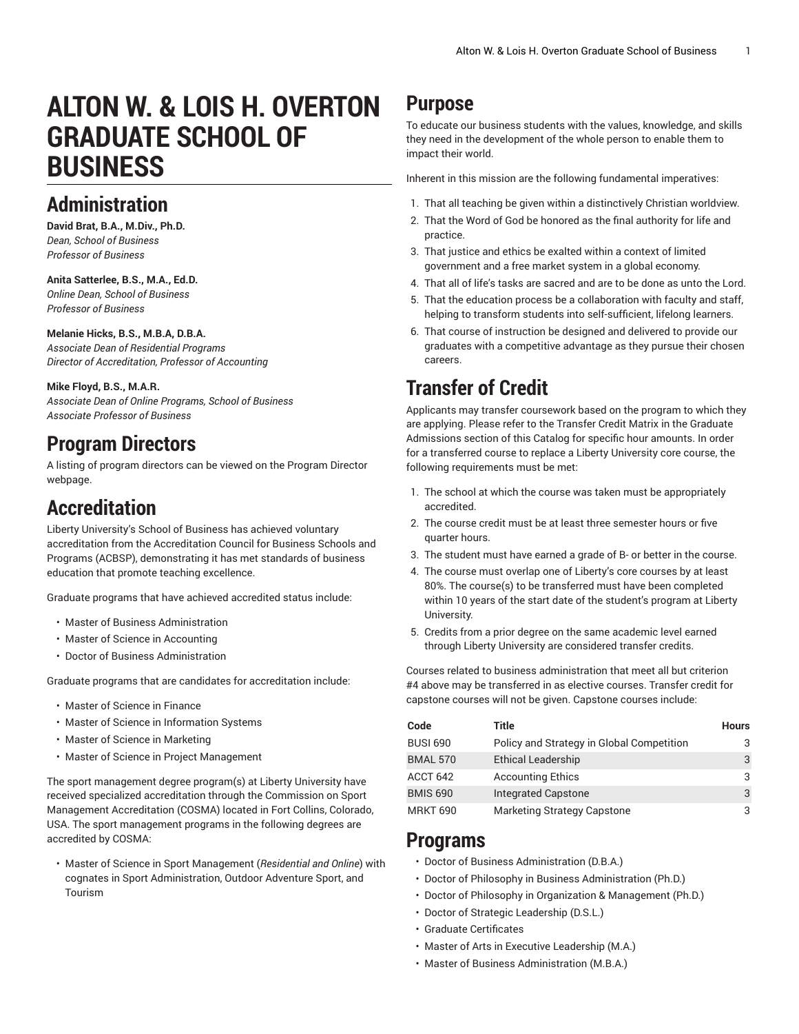# **ALTON W. & LOIS H. OVERTON GRADUATE SCHOOL OF BUSINESS**

### **Administration**

**David Brat, B.A., M.Div., Ph.D.** *Dean, School of Business Professor of Business*

#### **Anita Satterlee, B.S., M.A., Ed.D.** *Online Dean, School of Business Professor of Business*

#### **Melanie Hicks, B.S., M.B.A, D.B.A.**

*Associate Dean of Residential Programs Director of Accreditation, Professor of Accounting*

#### **Mike Floyd, B.S., M.A.R.**

*Associate Dean of Online Programs, School of Business Associate Professor of Business*

### **Program Directors**

A listing of program directors can be viewed on the [Program](https://www.liberty.edu/institutional-effectiveness/academic-program-directors/) Director webpage.

### **Accreditation**

Liberty University's School of Business has achieved voluntary accreditation from the Accreditation Council for Business Schools and Programs (ACBSP), demonstrating it has met standards of business education that promote teaching excellence.

Graduate programs that have achieved accredited status include:

- Master of Business Administration
- Master of Science in Accounting
- Doctor of Business Administration

Graduate programs that are candidates for accreditation include:

- Master of Science in Finance
- Master of Science in Information Systems
- Master of Science in Marketing
- Master of Science in Project Management

The sport management degree program(s) at Liberty University have received specialized accreditation through the [Commission](https://na01.safelinks.protection.outlook.com/?url=https%3A%2F%2Fwww.cosmaweb.org%2F&data=02%7C01%7C%7C7c1c74e4b2f945b9ff0808d61f0d7ace%7Cbaf8218eb3024465a9934a39c97251b2%7C0%7C0%7C636730540184764598&sdata=zxiXCsDm0MMIpCCEb5iNgvpvfU7NKNXgIcqb9hj9QWA%3D&reserved=0) on Sport Management [Accreditation](https://na01.safelinks.protection.outlook.com/?url=https%3A%2F%2Fwww.cosmaweb.org%2F&data=02%7C01%7C%7C7c1c74e4b2f945b9ff0808d61f0d7ace%7Cbaf8218eb3024465a9934a39c97251b2%7C0%7C0%7C636730540184764598&sdata=zxiXCsDm0MMIpCCEb5iNgvpvfU7NKNXgIcqb9hj9QWA%3D&reserved=0) (COSMA) located in Fort Collins, Colorado, USA. The sport management programs in the following degrees are accredited by COSMA:

• Master of Science in Sport Management (*Residential and Online*) with cognates in Sport Administration, Outdoor Adventure Sport, and Tourism

#### **Purpose**

To educate our business students with the values, knowledge, and skills they need in the development of the whole person to enable them to impact their world.

Inherent in this mission are the following fundamental imperatives:

- 1. That all teaching be given within a distinctively Christian worldview.
- 2. That the Word of God be honored as the final authority for life and practice.
- 3. That justice and ethics be exalted within a context of limited government and a free market system in a global economy.
- 4. That all of life's tasks are sacred and are to be done as unto the Lord.
- 5. That the education process be a collaboration with faculty and staff, helping to transform students into self-sufficient, lifelong learners.
- 6. That course of instruction be designed and delivered to provide our graduates with a competitive advantage as they pursue their chosen careers.

## **Transfer of Credit**

Applicants may transfer coursework based on the program to which they are applying. Please refer to the Transfer Credit Matrix in the Graduate Admissions section of this Catalog for specific hour amounts. In order for a transferred course to replace a Liberty University core course, the following requirements must be met:

- 1. The school at which the course was taken must be appropriately accredited.
- 2. The course credit must be at least three semester hours or five quarter hours.
- 3. The student must have earned a grade of B- or better in the course.
- 4. The course must overlap one of Liberty's core courses by at least 80%. The course(s) to be transferred must have been completed within 10 years of the start date of the student's program at Liberty University.
- 5. Credits from a prior degree on the same academic level earned through Liberty University are considered transfer credits.

Courses related to business administration that meet all but criterion #4 above may be transferred in as elective courses. Transfer credit for capstone courses will not be given. Capstone courses include:

| Code            | Title                                     | <b>Hours</b> |
|-----------------|-------------------------------------------|--------------|
| <b>BUSI 690</b> | Policy and Strategy in Global Competition | 3            |
| <b>BMAL 570</b> | Ethical Leadership                        | 3            |
| ACCT 642        | <b>Accounting Ethics</b>                  | 3            |
| <b>BMIS 690</b> | <b>Integrated Capstone</b>                | 3            |
| <b>MRKT 690</b> | Marketing Strategy Capstone               | 3            |

#### **Programs**

- Doctor of Business [Administration](https://catalog.liberty.edu/graduate/colleges-schools/graduate-business/business-administration-dba/) (D.B.A.)
- Doctor of Philosophy in Business [Administration](https://catalog.liberty.edu/graduate/colleges-schools/graduate-business/business-administration-phd/) (Ph.D.)
- Doctor of Philosophy in Organization & [Management](https://catalog.liberty.edu/graduate/colleges-schools/graduate-business/organization-management-phd/) (Ph.D.)
- Doctor of Strategic [Leadership](https://catalog.liberty.edu/graduate/colleges-schools/graduate-business/strategic-leadership-dsl/) (D.S.L.)
- Graduate [Certificates](https://catalog.liberty.edu/graduate/colleges-schools/graduate-business/graduate-certificates/)
- Master of Arts in Executive [Leadership](https://catalog.liberty.edu/graduate/colleges-schools/graduate-business/executive-leadership-ma/) (M.A.)
- [Master of Business Administration \(M.B.A.\)](https://catalog.liberty.edu/graduate/colleges-schools/graduate-business/business-administration-mba/)